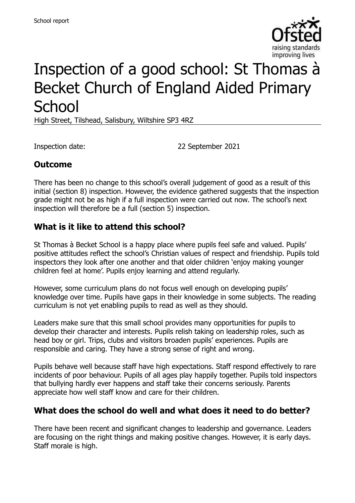

# Inspection of a good school: St Thomas à Becket Church of England Aided Primary **School**

High Street, Tilshead, Salisbury, Wiltshire SP3 4RZ

Inspection date: 22 September 2021

### **Outcome**

There has been no change to this school's overall judgement of good as a result of this initial (section 8) inspection. However, the evidence gathered suggests that the inspection grade might not be as high if a full inspection were carried out now. The school's next inspection will therefore be a full (section 5) inspection.

#### **What is it like to attend this school?**

St Thomas à Becket School is a happy place where pupils feel safe and valued. Pupils' positive attitudes reflect the school's Christian values of respect and friendship. Pupils told inspectors they look after one another and that older children 'enjoy making younger children feel at home'. Pupils enjoy learning and attend regularly.

However, some curriculum plans do not focus well enough on developing pupils' knowledge over time. Pupils have gaps in their knowledge in some subjects. The reading curriculum is not yet enabling pupils to read as well as they should.

Leaders make sure that this small school provides many opportunities for pupils to develop their character and interests. Pupils relish taking on leadership roles, such as head boy or girl. Trips, clubs and visitors broaden pupils' experiences. Pupils are responsible and caring. They have a strong sense of right and wrong.

Pupils behave well because staff have high expectations. Staff respond effectively to rare incidents of poor behaviour. Pupils of all ages play happily together. Pupils told inspectors that bullying hardly ever happens and staff take their concerns seriously. Parents appreciate how well staff know and care for their children.

#### **What does the school do well and what does it need to do better?**

There have been recent and significant changes to leadership and governance. Leaders are focusing on the right things and making positive changes. However, it is early days. Staff morale is high.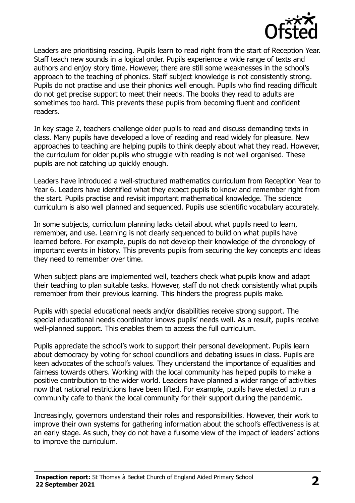

Leaders are prioritising reading. Pupils learn to read right from the start of Reception Year. Staff teach new sounds in a logical order. Pupils experience a wide range of texts and authors and enjoy story time. However, there are still some weaknesses in the school's approach to the teaching of phonics. Staff subject knowledge is not consistently strong. Pupils do not practise and use their phonics well enough. Pupils who find reading difficult do not get precise support to meet their needs. The books they read to adults are sometimes too hard. This prevents these pupils from becoming fluent and confident readers.

In key stage 2, teachers challenge older pupils to read and discuss demanding texts in class. Many pupils have developed a love of reading and read widely for pleasure. New approaches to teaching are helping pupils to think deeply about what they read. However, the curriculum for older pupils who struggle with reading is not well organised. These pupils are not catching up quickly enough.

Leaders have introduced a well-structured mathematics curriculum from Reception Year to Year 6. Leaders have identified what they expect pupils to know and remember right from the start. Pupils practise and revisit important mathematical knowledge. The science curriculum is also well planned and sequenced. Pupils use scientific vocabulary accurately.

In some subjects, curriculum planning lacks detail about what pupils need to learn, remember, and use. Learning is not clearly sequenced to build on what pupils have learned before. For example, pupils do not develop their knowledge of the chronology of important events in history. This prevents pupils from securing the key concepts and ideas they need to remember over time.

When subject plans are implemented well, teachers check what pupils know and adapt their teaching to plan suitable tasks. However, staff do not check consistently what pupils remember from their previous learning. This hinders the progress pupils make.

Pupils with special educational needs and/or disabilities receive strong support. The special educational needs coordinator knows pupils' needs well. As a result, pupils receive well-planned support. This enables them to access the full curriculum.

Pupils appreciate the school's work to support their personal development. Pupils learn about democracy by voting for school councillors and debating issues in class. Pupils are keen advocates of the school's values. They understand the importance of equalities and fairness towards others. Working with the local community has helped pupils to make a positive contribution to the wider world. Leaders have planned a wider range of activities now that national restrictions have been lifted. For example, pupils have elected to run a community cafe to thank the local community for their support during the pandemic.

Increasingly, governors understand their roles and responsibilities. However, their work to improve their own systems for gathering information about the school's effectiveness is at an early stage. As such, they do not have a fulsome view of the impact of leaders' actions to improve the curriculum.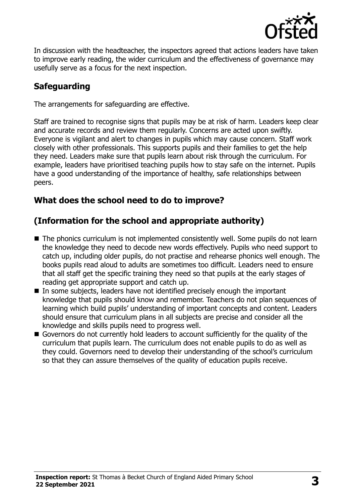

In discussion with the headteacher, the inspectors agreed that actions leaders have taken to improve early reading, the wider curriculum and the effectiveness of governance may usefully serve as a focus for the next inspection.

# **Safeguarding**

The arrangements for safeguarding are effective.

Staff are trained to recognise signs that pupils may be at risk of harm. Leaders keep clear and accurate records and review them regularly. Concerns are acted upon swiftly. Everyone is vigilant and alert to changes in pupils which may cause concern. Staff work closely with other professionals. This supports pupils and their families to get the help they need. Leaders make sure that pupils learn about risk through the curriculum. For example, leaders have prioritised teaching pupils how to stay safe on the internet. Pupils have a good understanding of the importance of healthy, safe relationships between peers.

# **What does the school need to do to improve?**

# **(Information for the school and appropriate authority)**

- The phonics curriculum is not implemented consistently well. Some pupils do not learn the knowledge they need to decode new words effectively. Pupils who need support to catch up, including older pupils, do not practise and rehearse phonics well enough. The books pupils read aloud to adults are sometimes too difficult. Leaders need to ensure that all staff get the specific training they need so that pupils at the early stages of reading get appropriate support and catch up.
- In some subjects, leaders have not identified precisely enough the important knowledge that pupils should know and remember. Teachers do not plan sequences of learning which build pupils' understanding of important concepts and content. Leaders should ensure that curriculum plans in all subjects are precise and consider all the knowledge and skills pupils need to progress well.
- Governors do not currently hold leaders to account sufficiently for the quality of the curriculum that pupils learn. The curriculum does not enable pupils to do as well as they could. Governors need to develop their understanding of the school's curriculum so that they can assure themselves of the quality of education pupils receive.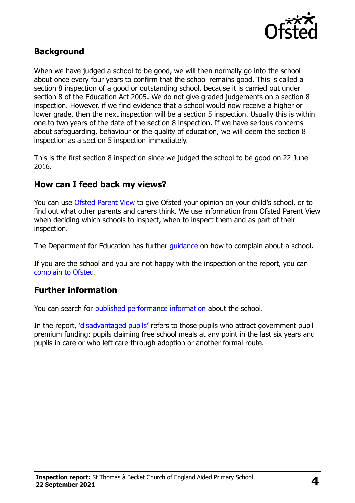

#### **Background**

When we have judged a school to be good, we will then normally go into the school about once every four years to confirm that the school remains good. This is called a section 8 inspection of a good or outstanding school, because it is carried out under section 8 of the Education Act 2005. We do not give graded judgements on a section 8 inspection. However, if we find evidence that a school would now receive a higher or lower grade, then the next inspection will be a section 5 inspection. Usually this is within one to two years of the date of the section 8 inspection. If we have serious concerns about safeguarding, behaviour or the quality of education, we will deem the section 8 inspection as a section 5 inspection immediately.

This is the first section 8 inspection since we judged the school to be good on 22 June 2016.

#### **How can I feed back my views?**

You can use [Ofsted Parent View](https://parentview.ofsted.gov.uk/) to give Ofsted your opinion on your child's school, or to find out what other parents and carers think. We use information from Ofsted Parent View when deciding which schools to inspect, when to inspect them and as part of their inspection.

The Department for Education has further quidance on how to complain about a school.

If you are the school and you are not happy with the inspection or the report, you can [complain to Ofsted.](https://www.gov.uk/complain-ofsted-report)

#### **Further information**

You can search for [published performance information](http://www.compare-school-performance.service.gov.uk/) about the school.

In the report, '[disadvantaged pupils](http://www.gov.uk/guidance/pupil-premium-information-for-schools-and-alternative-provision-settings)' refers to those pupils who attract government pupil premium funding: pupils claiming free school meals at any point in the last six years and pupils in care or who left care through adoption or another formal route.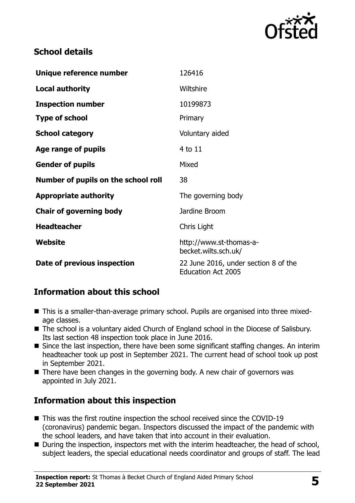

## **School details**

| Unique reference number             | 126416                                                            |
|-------------------------------------|-------------------------------------------------------------------|
| <b>Local authority</b>              | Wiltshire                                                         |
| <b>Inspection number</b>            | 10199873                                                          |
| <b>Type of school</b>               | Primary                                                           |
| <b>School category</b>              | Voluntary aided                                                   |
| Age range of pupils                 | 4 to 11                                                           |
| <b>Gender of pupils</b>             | Mixed                                                             |
| Number of pupils on the school roll | 38                                                                |
| <b>Appropriate authority</b>        | The governing body                                                |
| <b>Chair of governing body</b>      | Jardine Broom                                                     |
| <b>Headteacher</b>                  | Chris Light                                                       |
| Website                             | http://www.st-thomas-a-<br>becket.wilts.sch.uk/                   |
| Date of previous inspection         | 22 June 2016, under section 8 of the<br><b>Education Act 2005</b> |

# **Information about this school**

- This is a smaller-than-average primary school. Pupils are organised into three mixedage classes.
- The school is a voluntary aided Church of England school in the Diocese of Salisbury. Its last section 48 inspection took place in June 2016.
- Since the last inspection, there have been some significant staffing changes. An interim headteacher took up post in September 2021. The current head of school took up post in September 2021.
- There have been changes in the governing body. A new chair of governors was appointed in July 2021.

# **Information about this inspection**

- This was the first routine inspection the school received since the COVID-19 (coronavirus) pandemic began. Inspectors discussed the impact of the pandemic with the school leaders, and have taken that into account in their evaluation.
- During the inspection, inspectors met with the interim headteacher, the head of school, subject leaders, the special educational needs coordinator and groups of staff. The lead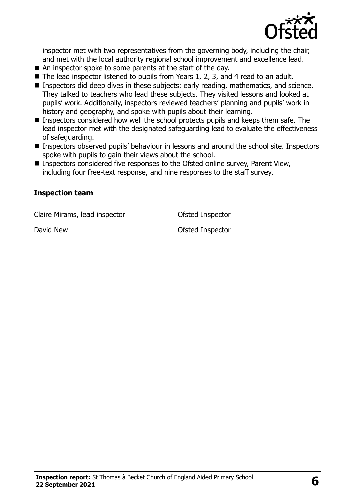

inspector met with two representatives from the governing body, including the chair, and met with the local authority regional school improvement and excellence lead.

- An inspector spoke to some parents at the start of the day.
- The lead inspector listened to pupils from Years 1, 2, 3, and 4 read to an adult.
- Inspectors did deep dives in these subjects: early reading, mathematics, and science. They talked to teachers who lead these subjects. They visited lessons and looked at pupils' work. Additionally, inspectors reviewed teachers' planning and pupils' work in history and geography, and spoke with pupils about their learning.
- Inspectors considered how well the school protects pupils and keeps them safe. The lead inspector met with the designated safeguarding lead to evaluate the effectiveness of safeguarding.
- Inspectors observed pupils' behaviour in lessons and around the school site. Inspectors spoke with pupils to gain their views about the school.
- Inspectors considered five responses to the Ofsted online survey, Parent View, including four free-text response, and nine responses to the staff survey.

#### **Inspection team**

Claire Mirams, lead inspector **Claire Constants** Ofsted Inspector

David New David New Charles Contractor